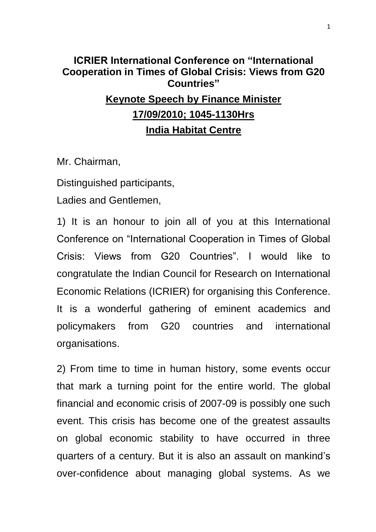## **ICRIER International Conference on "International Cooperation in Times of Global Crisis: Views from G20 Countries" Keynote Speech by Finance Minister 17/09/2010; 1045-1130Hrs India Habitat Centre**

Mr. Chairman,

Distinguished participants,

Ladies and Gentlemen,

1) It is an honour to join all of you at this International Conference on "International Cooperation in Times of Global Crisis: Views from G20 Countries". I would like to congratulate the Indian Council for Research on International Economic Relations (ICRIER) for organising this Conference. It is a wonderful gathering of eminent academics and policymakers from G20 countries and international organisations.

2) From time to time in human history, some events occur that mark a turning point for the entire world. The global financial and economic crisis of 2007-09 is possibly one such event. This crisis has become one of the greatest assaults on global economic stability to have occurred in three quarters of a century. But it is also an assault on mankind's over-confidence about managing global systems. As we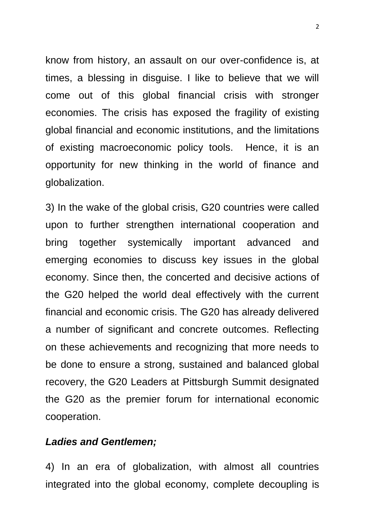know from history, an assault on our over-confidence is, at times, a blessing in disguise. I like to believe that we will come out of this global financial crisis with stronger economies. The crisis has exposed the fragility of existing global financial and economic institutions, and the limitations of existing macroeconomic policy tools. Hence, it is an opportunity for new thinking in the world of finance and globalization.

3) In the wake of the global crisis, G20 countries were called upon to further strengthen international cooperation and bring together systemically important advanced and emerging economies to discuss key issues in the global economy. Since then, the concerted and decisive actions of the G20 helped the world deal effectively with the current financial and economic crisis. The G20 has already delivered a number of significant and concrete outcomes. Reflecting on these achievements and recognizing that more needs to be done to ensure a strong, sustained and balanced global recovery, the G20 Leaders at Pittsburgh Summit designated the G20 as the premier forum for international economic cooperation.

## *Ladies and Gentlemen;*

4) In an era of globalization, with almost all countries integrated into the global economy, complete decoupling is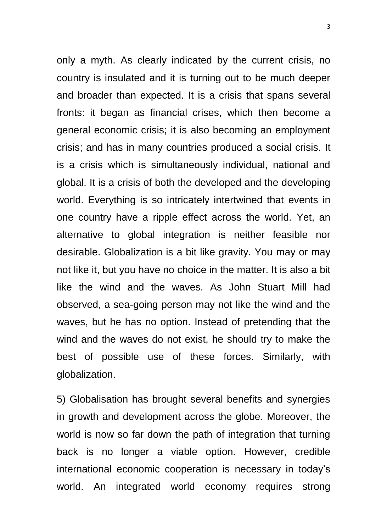only a myth. As clearly indicated by the current crisis, no country is insulated and it is turning out to be much deeper and broader than expected. It is a crisis that spans several fronts: it began as financial crises, which then become a general economic crisis; it is also becoming an employment crisis; and has in many countries produced a social crisis. It is a crisis which is simultaneously individual, national and global. It is a crisis of both the developed and the developing world. Everything is so intricately intertwined that events in one country have a ripple effect across the world. Yet, an alternative to global integration is neither feasible nor desirable. Globalization is a bit like gravity. You may or may not like it, but you have no choice in the matter. It is also a bit like the wind and the waves. As John Stuart Mill had observed, a sea-going person may not like the wind and the waves, but he has no option. Instead of pretending that the wind and the waves do not exist, he should try to make the best of possible use of these forces. Similarly, with globalization.

5) Globalisation has brought several benefits and synergies in growth and development across the globe. Moreover, the world is now so far down the path of integration that turning back is no longer a viable option. However, credible international economic cooperation is necessary in today's world. An integrated world economy requires strong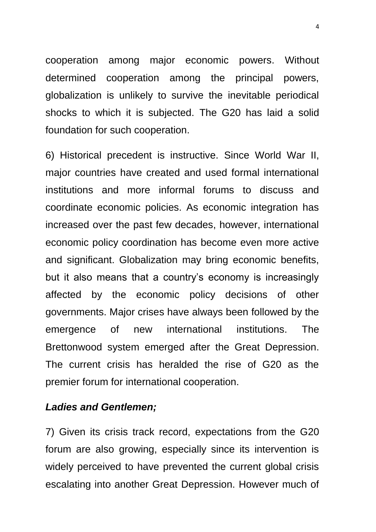cooperation among major economic powers. Without determined cooperation among the principal powers, globalization is unlikely to survive the inevitable periodical shocks to which it is subjected. The G20 has laid a solid foundation for such cooperation.

6) Historical precedent is instructive. Since World War II, major countries have created and used formal international institutions and more informal forums to discuss and coordinate economic policies. As economic integration has increased over the past few decades, however, international economic policy coordination has become even more active and significant. Globalization may bring economic benefits, but it also means that a country's economy is increasingly affected by the economic policy decisions of other governments. Major crises have always been followed by the emergence of new international institutions. The Brettonwood system emerged after the Great Depression. The current crisis has heralded the rise of G20 as the premier forum for international cooperation.

## *Ladies and Gentlemen;*

7) Given its crisis track record, expectations from the G20 forum are also growing, especially since its intervention is widely perceived to have prevented the current global crisis escalating into another Great Depression. However much of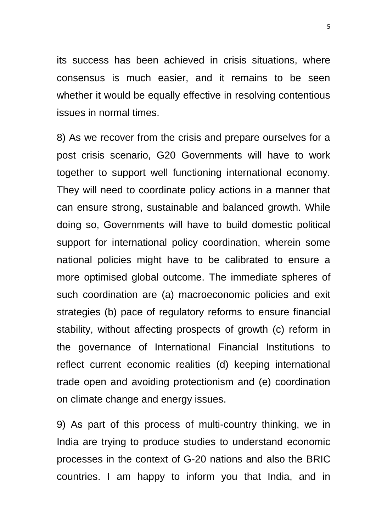its success has been achieved in crisis situations, where consensus is much easier, and it remains to be seen whether it would be equally effective in resolving contentious issues in normal times.

8) As we recover from the crisis and prepare ourselves for a post crisis scenario, G20 Governments will have to work together to support well functioning international economy. They will need to coordinate policy actions in a manner that can ensure strong, sustainable and balanced growth. While doing so, Governments will have to build domestic political support for international policy coordination, wherein some national policies might have to be calibrated to ensure a more optimised global outcome. The immediate spheres of such coordination are (a) macroeconomic policies and exit strategies (b) pace of regulatory reforms to ensure financial stability, without affecting prospects of growth (c) reform in the governance of International Financial Institutions to reflect current economic realities (d) keeping international trade open and avoiding protectionism and (e) coordination on climate change and energy issues.

9) As part of this process of multi-country thinking, we in India are trying to produce studies to understand economic processes in the context of G-20 nations and also the BRIC countries. I am happy to inform you that India, and in